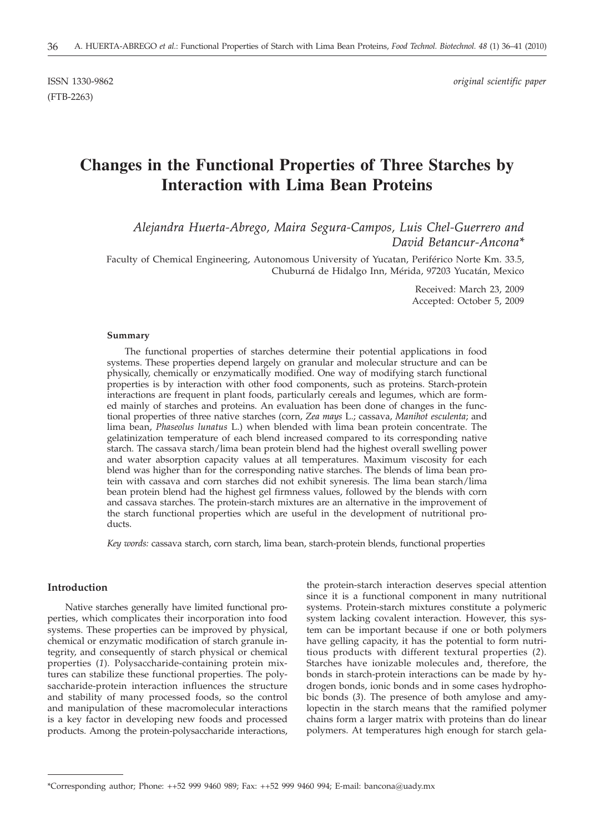(FTB-2263)

ISSN 1330-9862 *original scientific paper*

# **Changes in the Functional Properties of Three Starches by Interaction with Lima Bean Proteins**

## *Alejandra Huerta-Abrego, Maira Segura-Campos, Luis Chel-Guerrero and David Betancur-Ancona\**

Faculty of Chemical Engineering, Autonomous University of Yucatan, Periférico Norte Km. 33.5, Chuburná de Hidalgo Inn, Mérida, 97203 Yucatán, Mexico

> Received: March 23, 2009 Accepted: October 5, 2009

#### **Summary**

The functional properties of starches determine their potential applications in food systems. These properties depend largely on granular and molecular structure and can be physically, chemically or enzymatically modified. One way of modifying starch functional properties is by interaction with other food components, such as proteins. Starch-protein interactions are frequent in plant foods, particularly cereals and legumes, which are formed mainly of starches and proteins. An evaluation has been done of changes in the functional properties of three native starches (corn, *Zea mays* L.; cassava, *Manihot esculenta*; and lima bean, *Phaseolus lunatus* L.) when blended with lima bean protein concentrate. The gelatinization temperature of each blend increased compared to its corresponding native starch. The cassava starch/lima bean protein blend had the highest overall swelling power and water absorption capacity values at all temperatures. Maximum viscosity for each blend was higher than for the corresponding native starches. The blends of lima bean protein with cassava and corn starches did not exhibit syneresis. The lima bean starch/lima bean protein blend had the highest gel firmness values, followed by the blends with corn and cassava starches. The protein-starch mixtures are an alternative in the improvement of the starch functional properties which are useful in the development of nutritional products.

*Key words:* cassava starch, corn starch, lima bean, starch-protein blends, functional properties

## **Introduction**

Native starches generally have limited functional properties, which complicates their incorporation into food systems. These properties can be improved by physical, chemical or enzymatic modification of starch granule integrity, and consequently of starch physical or chemical properties (*1*). Polysaccharide-containing protein mixtures can stabilize these functional properties. The polysaccharide-protein interaction influences the structure and stability of many processed foods, so the control and manipulation of these macromolecular interactions is a key factor in developing new foods and processed products. Among the protein-polysaccharide interactions,

the protein-starch interaction deserves special attention since it is a functional component in many nutritional systems. Protein-starch mixtures constitute a polymeric system lacking covalent interaction. However, this system can be important because if one or both polymers have gelling capacity, it has the potential to form nutritious products with different textural properties (*2*). Starches have ionizable molecules and, therefore, the bonds in starch-protein interactions can be made by hydrogen bonds, ionic bonds and in some cases hydrophobic bonds (*3*). The presence of both amylose and amylopectin in the starch means that the ramified polymer chains form a larger matrix with proteins than do linear polymers. At temperatures high enough for starch gela-

<sup>\*</sup>Corresponding author; Phone: ++52 999 9460 989; Fax: ++52 999 9460 994; E-mail: bancona@uady.mx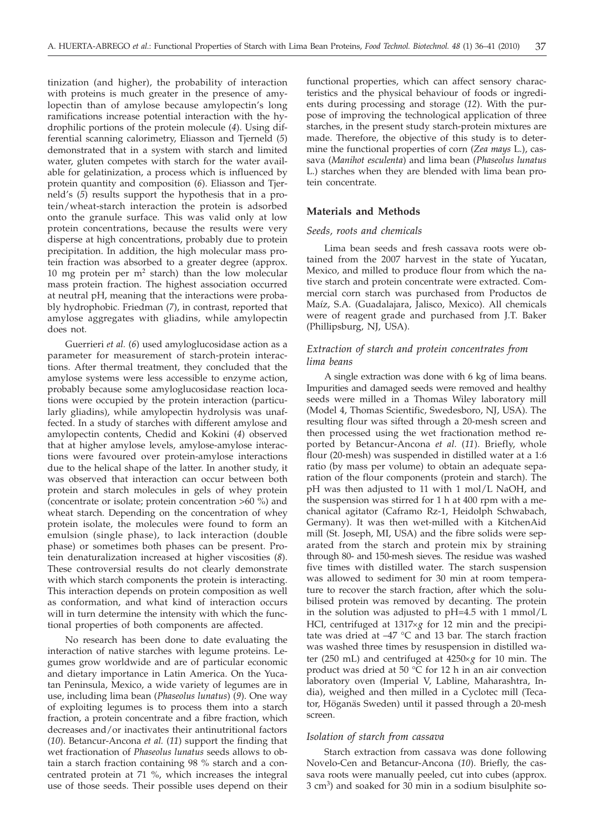tinization (and higher), the probability of interaction with proteins is much greater in the presence of amylopectin than of amylose because amylopectin's long ramifications increase potential interaction with the hydrophilic portions of the protein molecule (*4*). Using differential scanning calorimetry, Eliasson and Tjerneld (*5*) demonstrated that in a system with starch and limited water, gluten competes with starch for the water available for gelatinization, a process which is influenced by protein quantity and composition (*6*). Eliasson and Tjerneld's (*5*) results support the hypothesis that in a protein/wheat-starch interaction the protein is adsorbed onto the granule surface. This was valid only at low protein concentrations, because the results were very disperse at high concentrations, probably due to protein precipitation. In addition, the high molecular mass protein fraction was absorbed to a greater degree (approx. 10 mg protein per  $m<sup>2</sup>$  starch) than the low molecular mass protein fraction. The highest association occurred at neutral pH, meaning that the interactions were probably hydrophobic. Friedman (*7*), in contrast, reported that amylose aggregates with gliadins, while amylopectin does not.

Guerrieri *et al.* (*6*) used amyloglucosidase action as a parameter for measurement of starch-protein interactions. After thermal treatment, they concluded that the amylose systems were less accessible to enzyme action, probably because some amyloglucosidase reaction locations were occupied by the protein interaction (particularly gliadins), while amylopectin hydrolysis was unaffected. In a study of starches with different amylose and amylopectin contents, Chedid and Kokini (*4*) observed that at higher amylose levels, amylose-amylose interactions were favoured over protein-amylose interactions due to the helical shape of the latter. In another study, it was observed that interaction can occur between both protein and starch molecules in gels of whey protein (concentrate or isolate; protein concentration >60 %) and wheat starch. Depending on the concentration of whey protein isolate, the molecules were found to form an emulsion (single phase), to lack interaction (double phase) or sometimes both phases can be present. Protein denaturalization increased at higher viscosities (*8*). These controversial results do not clearly demonstrate with which starch components the protein is interacting. This interaction depends on protein composition as well as conformation, and what kind of interaction occurs will in turn determine the intensity with which the functional properties of both components are affected.

No research has been done to date evaluating the interaction of native starches with legume proteins. Legumes grow worldwide and are of particular economic and dietary importance in Latin America. On the Yucatan Peninsula, Mexico, a wide variety of legumes are in use, including lima bean (*Phaseolus lunatus*) (*9*). One way of exploiting legumes is to process them into a starch fraction, a protein concentrate and a fibre fraction, which decreases and/or inactivates their antinutritional factors (*10*). Betancur-Ancona *et al.* (*11*) support the finding that wet fractionation of *Phaseolus lunatus* seeds allows to obtain a starch fraction containing 98 % starch and a concentrated protein at 71 %, which increases the integral use of those seeds. Their possible uses depend on their

functional properties, which can affect sensory characteristics and the physical behaviour of foods or ingredients during processing and storage (*12*). With the purpose of improving the technological application of three starches, in the present study starch-protein mixtures are made. Therefore, the objective of this study is to determine the functional properties of corn (*Zea mays* L.), cassava (*Manihot esculenta*) and lima bean (*Phaseolus lunatus* L.) starches when they are blended with lima bean protein concentrate.

## **Materials and Methods**

## *Seeds, roots and chemicals*

Lima bean seeds and fresh cassava roots were obtained from the 2007 harvest in the state of Yucatan, Mexico, and milled to produce flour from which the native starch and protein concentrate were extracted. Commercial corn starch was purchased from Productos de Maíz, S.A. (Guadalajara, Jalisco, Mexico). All chemicals were of reagent grade and purchased from J.T. Baker (Phillipsburg, NJ, USA).

## *Extraction of starch and protein concentrates from lima beans*

A single extraction was done with 6 kg of lima beans. Impurities and damaged seeds were removed and healthy seeds were milled in a Thomas Wiley laboratory mill (Model 4, Thomas Scientific, Swedesboro, NJ, USA). The resulting flour was sifted through a 20-mesh screen and then processed using the wet fractionation method reported by Betancur-Ancona *et al.* (*11*). Briefly, whole flour (20-mesh) was suspended in distilled water at a 1:6 ratio (by mass per volume) to obtain an adequate separation of the flour components (protein and starch). The pH was then adjusted to 11 with 1 mol/L NaOH, and the suspension was stirred for 1 h at 400 rpm with a mechanical agitator (Caframo Rz-1, Heidolph Schwabach, Germany). It was then wet-milled with a KitchenAid mill (St. Joseph, MI, USA) and the fibre solids were separated from the starch and protein mix by straining through 80- and 150-mesh sieves. The residue was washed five times with distilled water. The starch suspension was allowed to sediment for 30 min at room temperature to recover the starch fraction, after which the solubilised protein was removed by decanting. The protein in the solution was adjusted to pH=4.5 with 1 mmol/L HCl, centrifuged at 1317×g for 12 min and the precipitate was dried at –47 °C and 13 bar. The starch fraction was washed three times by resuspension in distilled water (250 mL) and centrifuged at 4250´*<sup>g</sup>* for 10 min. The product was dried at 50 °C for 12 h in an air convection laboratory oven (Imperial V, Labline, Maharashtra, India), weighed and then milled in a Cyclotec mill (Tecator, Höganäs Sweden) until it passed through a 20-mesh screen.

#### *Isolation of starch from cassava*

Starch extraction from cassava was done following Novelo-Cen and Betancur-Ancona (*10*). Briefly, the cassava roots were manually peeled, cut into cubes (approx. 3 cm3) and soaked for 30 min in a sodium bisulphite so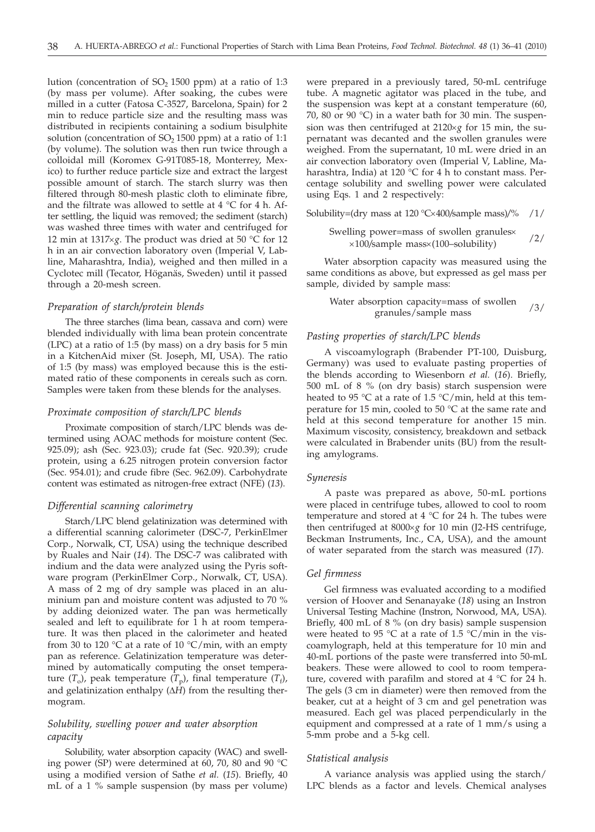lution (concentration of  $SO_2$  1500 ppm) at a ratio of 1:3 (by mass per volume). After soaking, the cubes were milled in a cutter (Fatosa C-3527, Barcelona, Spain) for 2 min to reduce particle size and the resulting mass was distributed in recipients containing a sodium bisulphite solution (concentration of  $SO<sub>2</sub> 1500$  ppm) at a ratio of 1:1 (by volume). The solution was then run twice through a colloidal mill (Koromex G-91T085-18, Monterrey, Mexico) to further reduce particle size and extract the largest possible amount of starch. The starch slurry was then filtered through 80-mesh plastic cloth to eliminate fibre, and the filtrate was allowed to settle at  $4 °C$  for  $4 h.$  After settling, the liquid was removed; the sediment (starch) was washed three times with water and centrifuged for 12 min at 1317 $\times$ *g*. The product was dried at 50 °C for 12 h in an air convection laboratory oven (Imperial V, Labline, Maharashtra, India), weighed and then milled in a Cyclotec mill (Tecator, Höganäs, Sweden) until it passed through a 20-mesh screen.

#### *Preparation of starch/protein blends*

The three starches (lima bean, cassava and corn) were blended individually with lima bean protein concentrate (LPC) at a ratio of 1:5 (by mass) on a dry basis for 5 min in a KitchenAid mixer (St. Joseph, MI, USA). The ratio of 1:5 (by mass) was employed because this is the estimated ratio of these components in cereals such as corn. Samples were taken from these blends for the analyses.

#### *Proximate composition of starch/LPC blends*

Proximate composition of starch/LPC blends was determined using AOAC methods for moisture content (Sec. 925.09); ash (Sec. 923.03); crude fat (Sec. 920.39); crude protein, using a 6.25 nitrogen protein conversion factor (Sec. 954.01); and crude fibre (Sec. 962.09). Carbohydrate content was estimated as nitrogen-free extract (NFE) (*13*).

#### *Differential scanning calorimetry*

Starch/LPC blend gelatinization was determined with a differential scanning calorimeter (DSC-7, PerkinElmer Corp., Norwalk, CT, USA) using the technique described by Ruales and Nair (*14*). The DSC-7 was calibrated with indium and the data were analyzed using the Pyris software program (PerkinElmer Corp., Norwalk, CT, USA). A mass of 2 mg of dry sample was placed in an aluminium pan and moisture content was adjusted to 70 % by adding deionized water. The pan was hermetically sealed and left to equilibrate for 1 h at room temperature. It was then placed in the calorimeter and heated from 30 to 120  $\degree$ C at a rate of 10  $\degree$ C/min, with an empty pan as reference. Gelatinization temperature was determined by automatically computing the onset temperature  $(T_o)$ , peak temperature  $(T_p)$ , final temperature  $(T_f)$ , and gelatinization enthalpy  $(\Delta \hat{H})$  from the resulting thermogram.

## *Solubility, swelling power and water absorption capacity*

Solubility, water absorption capacity (WAC) and swelling power (SP) were determined at 60, 70, 80 and 90 °C using a modified version of Sathe *et al.* (*15*). Briefly, 40 mL of a 1 % sample suspension (by mass per volume)

were prepared in a previously tared, 50-mL centrifuge tube. A magnetic agitator was placed in the tube, and the suspension was kept at a constant temperature (60, 70, 80 or 90 °C) in a water bath for 30 min. The suspension was then centrifuged at  $2120 \times g$  for 15 min, the supernatant was decanted and the swollen granules were weighed. From the supernatant, 10 mL were dried in an air convection laboratory oven (Imperial V, Labline, Maharashtra, India) at 120 °C for 4 h to constant mass. Percentage solubility and swelling power were calculated using Eqs. 1 and 2 respectively:

Solubility=(dry mass at 120 °C´400*/*sample mass)*/*% /1/

Swelling power=mass of swollen granules×  $\times$ 100/sample mass $\times$ (100–solubility)  $\frac{2}{\sqrt{2}}$ 

Water absorption capacity was measured using the same conditions as above, but expressed as gel mass per sample, divided by sample mass:

Water absorption capacity=mass of swollen granules/sample mass of swonen /3/

#### *Pasting properties of starch/LPC blends*

A viscoamylograph (Brabender PT-100, Duisburg, Germany) was used to evaluate pasting properties of the blends according to Wiesenborn *et al.* (*16*). Briefly, 500 mL of 8 % (on dry basis) starch suspension were heated to 95 °C at a rate of 1.5 °C/min, held at this temperature for 15 min, cooled to 50  $\degree$ C at the same rate and held at this second temperature for another 15 min. Maximum viscosity, consistency, breakdown and setback were calculated in Brabender units (BU) from the resulting amylograms.

#### *Syneresis*

A paste was prepared as above, 50-mL portions were placed in centrifuge tubes, allowed to cool to room temperature and stored at  $4 °C$  for 24 h. The tubes were then centrifuged at 8000×g for 10 min (J2-HS centrifuge, Beckman Instruments, Inc., CA, USA), and the amount of water separated from the starch was measured (*17*).

#### *Gel firmness*

Gel firmness was evaluated according to a modified version of Hoover and Senanayake (*18*) using an Instron Universal Testing Machine (Instron, Norwood, MA, USA). Briefly, 400 mL of 8 % (on dry basis) sample suspension were heated to 95 °C at a rate of 1.5 °C/min in the viscoamylograph, held at this temperature for 10 min and 40-mL portions of the paste were transferred into 50-mL beakers. These were allowed to cool to room temperature, covered with parafilm and stored at 4 °C for 24 h. The gels (3 cm in diameter) were then removed from the beaker, cut at a height of 3 cm and gel penetration was measured. Each gel was placed perpendicularly in the equipment and compressed at a rate of 1 mm/s using a 5-mm probe and a 5-kg cell.

#### *Statistical analysis*

A variance analysis was applied using the starch/ LPC blends as a factor and levels. Chemical analyses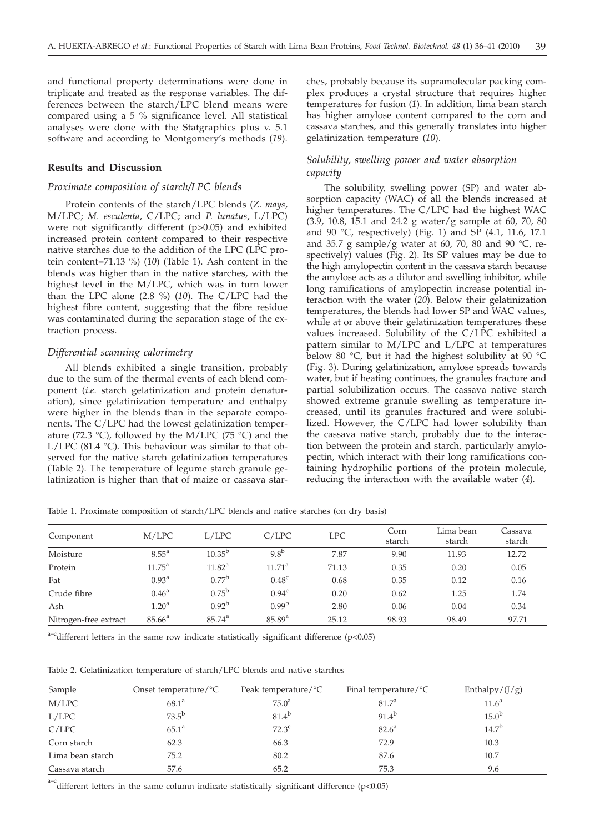and functional property determinations were done in triplicate and treated as the response variables. The differences between the starch/LPC blend means were compared using a 5 % significance level. All statistical analyses were done with the Statgraphics plus v. 5.1 software and according to Montgomery's methods (*19*).

#### **Results and Discussion**

## *Proximate composition of starch/LPC blends*

Protein contents of the starch/LPC blends (*Z. mays*, M/LPC; *M. esculenta*, C/LPC; and *P. lunatus*, L/LPC) were not significantly different (p>0.05) and exhibited increased protein content compared to their respective native starches due to the addition of the LPC (LPC protein content=71.13 %) (*10*) (Table 1). Ash content in the blends was higher than in the native starches, with the highest level in the M/LPC, which was in turn lower than the LPC alone (2.8 %) (*10*). The C/LPC had the highest fibre content, suggesting that the fibre residue was contaminated during the separation stage of the extraction process.

## *Differential scanning calorimetry*

All blends exhibited a single transition, probably due to the sum of the thermal events of each blend component (*i*.*e*. starch gelatinization and protein denaturation), since gelatinization temperature and enthalpy were higher in the blends than in the separate components. The C/LPC had the lowest gelatinization temperature (72.3 °C), followed by the M/LPC (75 °C) and the L/LPC (81.4 °C). This behaviour was similar to that observed for the native starch gelatinization temperatures (Table 2). The temperature of legume starch granule gelatinization is higher than that of maize or cassava star-

ches, probably because its supramolecular packing complex produces a crystal structure that requires higher temperatures for fusion (*1*). In addition, lima bean starch has higher amylose content compared to the corn and cassava starches, and this generally translates into higher gelatinization temperature (*10*).

## *Solubility, swelling power and water absorption capacity*

The solubility, swelling power (SP) and water absorption capacity (WAC) of all the blends increased at higher temperatures. The C/LPC had the highest WAC (3.9, 10.8, 15.1 and 24.2 g water/g sample at 60, 70, 80 and 90  $\degree$ C, respectively) (Fig. 1) and SP (4.1, 11.6, 17.1 and 35.7 g sample/g water at 60, 70, 80 and 90  $^{\circ}$ C, respectively) values (Fig. 2). Its SP values may be due to the high amylopectin content in the cassava starch because the amylose acts as a dilutor and swelling inhibitor, while long ramifications of amylopectin increase potential interaction with the water (*20*). Below their gelatinization temperatures, the blends had lower SP and WAC values, while at or above their gelatinization temperatures these values increased. Solubility of the C/LPC exhibited a pattern similar to M/LPC and L/LPC at temperatures below 80 °C, but it had the highest solubility at 90 °C (Fig. 3). During gelatinization, amylose spreads towards water, but if heating continues, the granules fracture and partial solubilization occurs. The cassava native starch showed extreme granule swelling as temperature increased, until its granules fractured and were solubilized. However, the C/LPC had lower solubility than the cassava native starch, probably due to the interaction between the protein and starch, particularly amylopectin, which interact with their long ramifications containing hydrophilic portions of the protein molecule, reducing the interaction with the available water (*4*)*.*

Table 1. Proximate composition of starch/LPC blends and native starches (on dry basis)

| Component             | M/LPC             | L/LPC              | C/LPC             | <b>LPC</b> | Corn<br>starch | Lima bean<br>starch | Cassava<br>starch |
|-----------------------|-------------------|--------------------|-------------------|------------|----------------|---------------------|-------------------|
| Moisture              | $8.55^{\circ}$    | $10.35^{b}$        | $9.8^{b}$         | 7.87       | 9.90           | 11.93               | 12.72             |
| Protein               | $11.75^{\circ}$   | $11.82^{\text{a}}$ | $11.71^{\circ}$   | 71.13      | 0.35           | 0.20                | 0.05              |
| Fat                   | $0.93^{\rm a}$    | $0.77^{b}$         | 0.48 <sup>c</sup> | 0.68       | 0.35           | 0.12                | 0.16              |
| Crude fibre           | $0.46^{\rm a}$    | $0.75^{\rm b}$     | 0.94 <sup>c</sup> | 0.20       | 0.62           | 1.25                | 1.74              |
| Ash                   | 1.20 <sup>a</sup> | $0.92^{b}$         | $0.99^{b}$        | 2.80       | 0.06           | 0.04                | 0.34              |
| Nitrogen-free extract | $85.66^{\circ}$   | $85.74^{\circ}$    | $85.89^{a}$       | 25.12      | 98.93          | 98.49               | 97.71             |

 $a-c$  different letters in the same row indicate statistically significant difference (p<0.05)

Table 2. Gelatinization temperature of starch/LPC blends and native starches

| Sample           | Onset temperature/ $\rm{^{\circ}C}$ | Peak temperature/ $\rm{^{\circ}C}$ | Final temperature/ $\rm{^{\circ}C}$ | Enthalpy/ $(J/g)$ |
|------------------|-------------------------------------|------------------------------------|-------------------------------------|-------------------|
| M/LPC            | $68.1^{\circ}$                      | $75.0^{\circ}$                     | 81.7 <sup>a</sup>                   | 11.6 <sup>a</sup> |
| L/LPC            | $73.5^{\rm b}$                      | $81.4^{b}$                         | $91.4^{b}$                          | 15.0 <sup>b</sup> |
| C/LPC            | $65.1^{\circ}$                      | $72.3^{\circ}$                     | $82.6^{\circ}$                      | $14.7^{b}$        |
| Corn starch      | 62.3                                | 66.3                               | 72.9                                | 10.3              |
| Lima bean starch | 75.2                                | 80.2                               | 87.6                                | 10.7              |
| Cassava starch   | 57.6                                | 65.2                               | 75.3                                | 9.6               |

 $a-c$  different letters in the same column indicate statistically significant difference (p<0.05)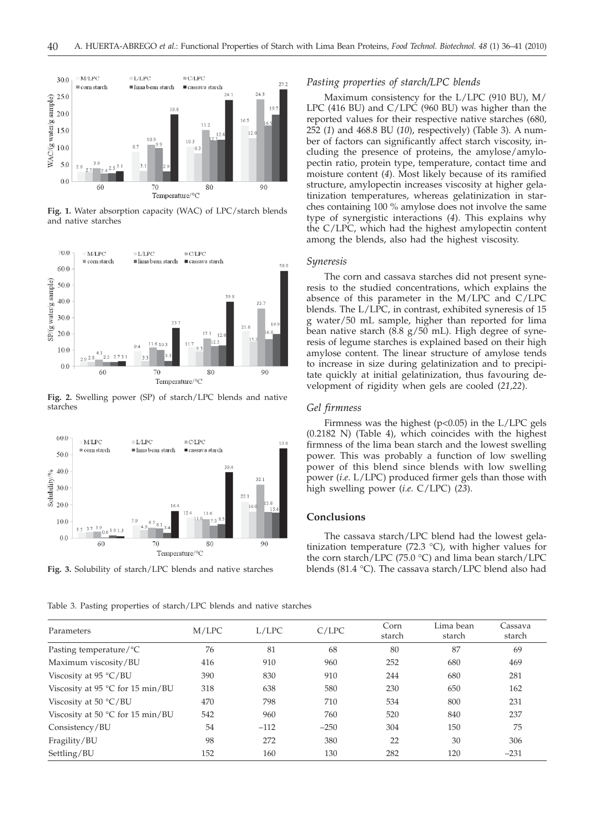

**Fig. 1.** Water absorption capacity (WAC) of LPC/starch blends and native starches



**Fig. 2.** Swelling power (SP) of starch/LPC blends and native starches



**Fig. 3.** Solubility of starch/LPC blends and native starches

Table 3. Pasting properties of starch/LPC blends and native starches

## *Pasting properties of starch/LPC blends*

Maximum consistency for the L/LPC (910 BU), M/ LPC (416 BU) and C/LPC (960 BU) was higher than the reported values for their respective native starches (680, 252 (*1*) and 468.8 BU (*10*), respectively) (Table 3). A number of factors can significantly affect starch viscosity, including the presence of proteins, the amylose/amylopectin ratio, protein type, temperature, contact time and moisture content (*4*). Most likely because of its ramified structure, amylopectin increases viscosity at higher gelatinization temperatures, whereas gelatinization in starches containing 100 % amylose does not involve the same type of synergistic interactions (*4*). This explains why the C/LPC, which had the highest amylopectin content among the blends, also had the highest viscosity.

#### *Syneresis*

The corn and cassava starches did not present syneresis to the studied concentrations, which explains the absence of this parameter in the M/LPC and C/LPC blends. The L/LPC, in contrast, exhibited syneresis of 15 g water/50 mL sample, higher than reported for lima bean native starch (8.8 g/50 mL). High degree of syneresis of legume starches is explained based on their high amylose content. The linear structure of amylose tends to increase in size during gelatinization and to precipitate quickly at initial gelatinization, thus favouring development of rigidity when gels are cooled (*21,22*).

#### *Gel firmness*

Firmness was the highest  $(p<0.05)$  in the L/LPC gels (0.2182 N) (Table 4), which coincides with the highest firmness of the lima bean starch and the lowest swelling power. This was probably a function of low swelling power of this blend since blends with low swelling power (*i*.*e*. L/LPC) produced firmer gels than those with high swelling power (*i*.*e*. C/LPC) (*23*).

#### **Conclusions**

The cassava starch/LPC blend had the lowest gelatinization temperature (72.3 °C), with higher values for the corn starch/LPC (75.0 °C) and lima bean starch/LPC blends (81.4 °C). The cassava starch/LPC blend also had

| Parameters                                | M/LPC | L/LPC  | C/LPC  | Corn<br>starch | Lima bean<br>starch | Cassava<br>starch |
|-------------------------------------------|-------|--------|--------|----------------|---------------------|-------------------|
| Pasting temperature/°C                    | 76    | 81     | 68     | 80             | 87                  | 69                |
| Maximum viscosity/BU                      | 416   | 910    | 960    | 252            | 680                 | 469               |
| Viscosity at $95 °C/BU$                   | 390   | 830    | 910    | 244            | 680                 | 281               |
| Viscosity at 95 $\degree$ C for 15 min/BU | 318   | 638    | 580    | 230            | 650                 | 162               |
| Viscosity at $50 °C/BU$                   | 470   | 798    | 710    | 534            | 800                 | 231               |
| Viscosity at 50 $\degree$ C for 15 min/BU | 542   | 960    | 760    | 520            | 840                 | 237               |
| Consistency/BU                            | 54    | $-112$ | $-250$ | 304            | 150                 | 75                |
| Fragility/BU                              | 98    | 272    | 380    | 22             | 30                  | 306               |
| Settling/BU                               | 152   | 160    | 130    | 282            | 120                 | $-231$            |